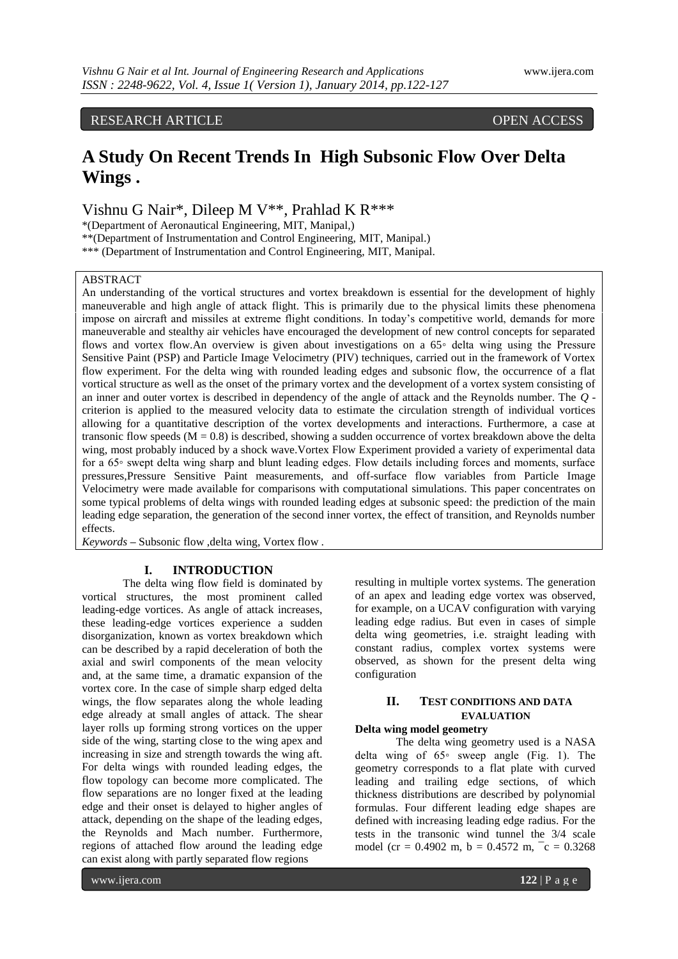## RESEARCH ARTICLE OPEN ACCESS

# **A Study On Recent Trends In High Subsonic Flow Over Delta Wings .**

Vishnu G Nair\*, Dileep M V\*\*, Prahlad K R\*\*\*

\*(Department of Aeronautical Engineering, MIT, Manipal,)

\*\*(Department of Instrumentation and Control Engineering, MIT, Manipal.)

\*\*\* (Department of Instrumentation and Control Engineering, MIT, Manipal.

#### ABSTRACT

An understanding of the vortical structures and vortex breakdown is essential for the development of highly maneuverable and high angle of attack flight. This is primarily due to the physical limits these phenomena impose on aircraft and missiles at extreme flight conditions. In today's competitive world, demands for more maneuverable and stealthy air vehicles have encouraged the development of new control concepts for separated flows and vortex flow.An overview is given about investigations on a 65◦ delta wing using the Pressure Sensitive Paint (PSP) and Particle Image Velocimetry (PIV) techniques, carried out in the framework of Vortex flow experiment. For the delta wing with rounded leading edges and subsonic flow, the occurrence of a flat vortical structure as well as the onset of the primary vortex and the development of a vortex system consisting of an inner and outer vortex is described in dependency of the angle of attack and the Reynolds number. The *Q*  criterion is applied to the measured velocity data to estimate the circulation strength of individual vortices allowing for a quantitative description of the vortex developments and interactions. Furthermore, a case at transonic flow speeds (M = 0*.*8) is described, showing a sudden occurrence of vortex breakdown above the delta wing, most probably induced by a shock wave.Vortex Flow Experiment provided a variety of experimental data for a 65◦ swept delta wing sharp and blunt leading edges. Flow details including forces and moments, surface pressures,Pressure Sensitive Paint measurements, and off-surface flow variables from Particle Image Velocimetry were made available for comparisons with computational simulations. This paper concentrates on some typical problems of delta wings with rounded leading edges at subsonic speed: the prediction of the main leading edge separation, the generation of the second inner vortex, the effect of transition, and Reynolds number effects.

*Keywords* **–** Subsonic flow ,delta wing, Vortex flow .

## **I. INTRODUCTION**

The delta wing flow field is dominated by vortical structures, the most prominent called leading-edge vortices. As angle of attack increases, these leading-edge vortices experience a sudden disorganization, known as vortex breakdown which can be described by a rapid deceleration of both the axial and swirl components of the mean velocity and, at the same time, a dramatic expansion of the vortex core. In the case of simple sharp edged delta wings, the flow separates along the whole leading edge already at small angles of attack. The shear layer rolls up forming strong vortices on the upper side of the wing, starting close to the wing apex and increasing in size and strength towards the wing aft. For delta wings with rounded leading edges, the flow topology can become more complicated. The flow separations are no longer fixed at the leading edge and their onset is delayed to higher angles of attack, depending on the shape of the leading edges, the Reynolds and Mach number. Furthermore, regions of attached flow around the leading edge can exist along with partly separated flow regions

resulting in multiple vortex systems. The generation of an apex and leading edge vortex was observed, for example, on a UCAV configuration with varying leading edge radius. But even in cases of simple delta wing geometries, i.e. straight leading with constant radius, complex vortex systems were observed, as shown for the present delta wing configuration

## **II. TEST CONDITIONS AND DATA EVALUATION**

#### **Delta wing model geometry**

The delta wing geometry used is a NASA delta wing of 65◦ sweep angle (Fig. 1). The geometry corresponds to a flat plate with curved leading and trailing edge sections, of which thickness distributions are described by polynomial formulas. Four different leading edge shapes are defined with increasing leading edge radius. For the tests in the transonic wind tunnel the 3/4 scale model (cr =  $0.4902$  m, b =  $0.4572$  m,  $-c = 0.3268$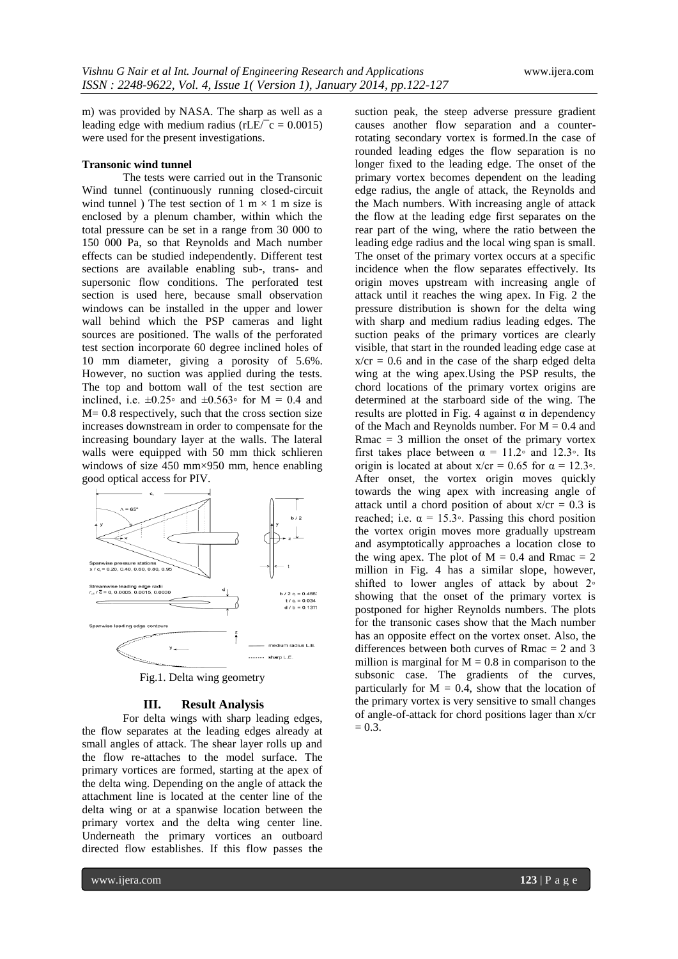m) was provided by NASA. The sharp as well as a leading edge with medium radius ( $rLE/\bar{c} = 0.0015$ ) were used for the present investigations.

## **Transonic wind tunnel**

The tests were carried out in the Transonic Wind tunnel (continuously running closed-circuit wind tunnel ) The test section of 1 m  $\times$  1 m size is enclosed by a plenum chamber, within which the total pressure can be set in a range from 30 000 to 150 000 Pa, so that Reynolds and Mach number effects can be studied independently. Different test sections are available enabling sub-, trans- and supersonic flow conditions. The perforated test section is used here, because small observation windows can be installed in the upper and lower wall behind which the PSP cameras and light sources are positioned. The walls of the perforated test section incorporate 60 degree inclined holes of 10 mm diameter, giving a porosity of 5.6%. However, no suction was applied during the tests. The top and bottom wall of the test section are inclined, i.e.  $\pm 0.25\degree$  and  $\pm 0.563\degree$  for M = 0.4 and  $M = 0.8$  respectively, such that the cross section size increases downstream in order to compensate for the increasing boundary layer at the walls. The lateral walls were equipped with 50 mm thick schlieren windows of size 450 mm×950 mm, hence enabling good optical access for PIV.



Fig.1. Delta wing geometry

### **III. Result Analysis**

For delta wings with sharp leading edges, the flow separates at the leading edges already at small angles of attack. The shear layer rolls up and the flow re-attaches to the model surface. The primary vortices are formed, starting at the apex of the delta wing. Depending on the angle of attack the attachment line is located at the center line of the delta wing or at a spanwise location between the primary vortex and the delta wing center line. Underneath the primary vortices an outboard directed flow establishes. If this flow passes the

suction peak, the steep adverse pressure gradient causes another flow separation and a counterrotating secondary vortex is formed.In the case of rounded leading edges the flow separation is no longer fixed to the leading edge. The onset of the primary vortex becomes dependent on the leading edge radius, the angle of attack, the Reynolds and the Mach numbers. With increasing angle of attack the flow at the leading edge first separates on the rear part of the wing, where the ratio between the leading edge radius and the local wing span is small. The onset of the primary vortex occurs at a specific incidence when the flow separates effectively. Its origin moves upstream with increasing angle of attack until it reaches the wing apex. In Fig. 2 the pressure distribution is shown for the delta wing with sharp and medium radius leading edges. The suction peaks of the primary vortices are clearly visible, that start in the rounded leading edge case at  $x/cr = 0.6$  and in the case of the sharp edged delta wing at the wing apex.Using the PSP results, the chord locations of the primary vortex origins are determined at the starboard side of the wing. The results are plotted in Fig. 4 against α in dependency of the Mach and Reynolds number. For  $M = 0.4$  and Rmac  $=$  3 million the onset of the primary vortex first takes place between  $\alpha = 11.2$ ° and 12.3°. Its origin is located at about  $x/cr = 0.65$  for  $\alpha = 12.3$ °. After onset, the vortex origin moves quickly towards the wing apex with increasing angle of attack until a chord position of about  $x/cr = 0.3$  is reached; i.e.  $\alpha = 15.3°$ . Passing this chord position the vortex origin moves more gradually upstream and asymptotically approaches a location close to the wing apex. The plot of  $M = 0.4$  and Rmac = 2 million in Fig. 4 has a similar slope, however, shifted to lower angles of attack by about 2◦ showing that the onset of the primary vortex is postponed for higher Reynolds numbers. The plots for the transonic cases show that the Mach number has an opposite effect on the vortex onset. Also, the differences between both curves of Rmac = 2 and 3 million is marginal for  $M = 0.8$  in comparison to the subsonic case. The gradients of the curves, particularly for  $M = 0.4$ , show that the location of the primary vortex is very sensitive to small changes of angle-of-attack for chord positions lager than x/cr  $= 0.3.$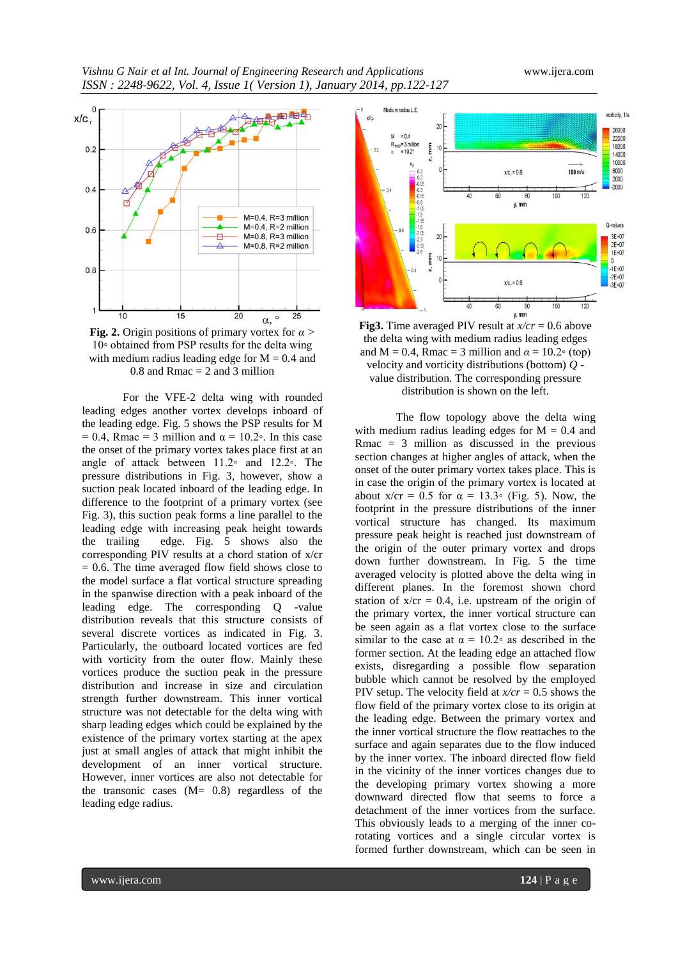

**Fig. 2.** Origin positions of primary vortex for *α >*  10◦ obtained from PSP results for the delta wing with medium radius leading edge for  $M = 0.4$  and 0.8 and Rmac  $= 2$  and 3 million

For the VFE-2 delta wing with rounded leading edges another vortex develops inboard of the leading edge. Fig. 5 shows the PSP results for M  $= 0.4$ , Rmac = 3 million and  $\alpha = 10.2°$ . In this case the onset of the primary vortex takes place first at an angle of attack between 11.2◦ and 12.2◦. The pressure distributions in Fig. 3, however, show a suction peak located inboard of the leading edge. In difference to the footprint of a primary vortex (see Fig. 3), this suction peak forms a line parallel to the leading edge with increasing peak height towards the trailing edge. Fig. 5 shows also the corresponding PIV results at a chord station of x/cr  $= 0.6$ . The time averaged flow field shows close to the model surface a flat vortical structure spreading in the spanwise direction with a peak inboard of the leading edge. The corresponding Q -value distribution reveals that this structure consists of several discrete vortices as indicated in Fig. 3. Particularly, the outboard located vortices are fed with vorticity from the outer flow. Mainly these vortices produce the suction peak in the pressure distribution and increase in size and circulation strength further downstream. This inner vortical structure was not detectable for the delta wing with sharp leading edges which could be explained by the existence of the primary vortex starting at the apex just at small angles of attack that might inhibit the development of an inner vortical structure. However, inner vortices are also not detectable for the transonic cases (M= 0.8) regardless of the leading edge radius.



**Fig3.** Time averaged PIV result at  $x/cr = 0.6$  above the delta wing with medium radius leading edges and  $M = 0.4$ , Rmac = 3 million and  $\alpha = 10.2°$  (top) velocity and vorticity distributions (bottom) *Q*  value distribution. The corresponding pressure distribution is shown on the left.

The flow topology above the delta wing with medium radius leading edges for  $M = 0.4$  and  $Rmac = 3$  million as discussed in the previous section changes at higher angles of attack, when the onset of the outer primary vortex takes place. This is in case the origin of the primary vortex is located at about  $x/cr = 0.5$  for  $\alpha = 13.3°$  (Fig. 5). Now, the footprint in the pressure distributions of the inner vortical structure has changed. Its maximum pressure peak height is reached just downstream of the origin of the outer primary vortex and drops down further downstream. In Fig. 5 the time averaged velocity is plotted above the delta wing in different planes. In the foremost shown chord station of  $x/cr = 0.4$ , i.e. upstream of the origin of the primary vortex, the inner vortical structure can be seen again as a flat vortex close to the surface similar to the case at  $\alpha = 10.2°$  as described in the former section. At the leading edge an attached flow exists, disregarding a possible flow separation bubble which cannot be resolved by the employed PIV setup. The velocity field at  $x/cr = 0.5$  shows the flow field of the primary vortex close to its origin at the leading edge. Between the primary vortex and the inner vortical structure the flow reattaches to the surface and again separates due to the flow induced by the inner vortex. The inboard directed flow field in the vicinity of the inner vortices changes due to the developing primary vortex showing a more downward directed flow that seems to force a detachment of the inner vortices from the surface. This obviously leads to a merging of the inner corotating vortices and a single circular vortex is formed further downstream, which can be seen in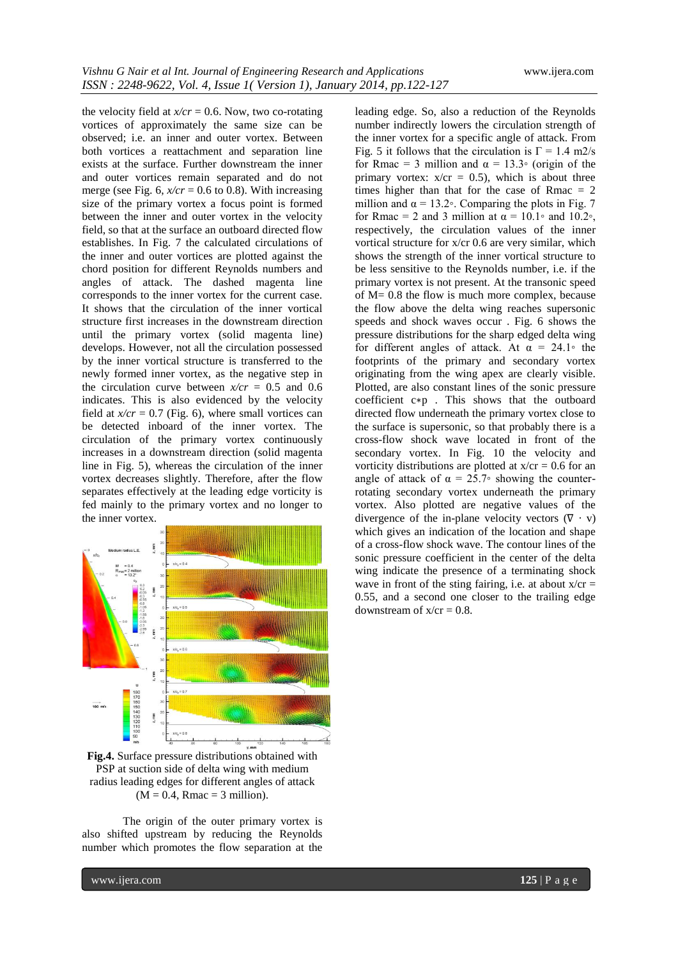the velocity field at  $x/cr = 0.6$ . Now, two co-rotating vortices of approximately the same size can be observed; i.e. an inner and outer vortex. Between both vortices a reattachment and separation line exists at the surface. Further downstream the inner and outer vortices remain separated and do not merge (see Fig. 6,  $x/cr = 0.6$  to 0.8). With increasing size of the primary vortex a focus point is formed between the inner and outer vortex in the velocity field, so that at the surface an outboard directed flow establishes. In Fig. 7 the calculated circulations of the inner and outer vortices are plotted against the chord position for different Reynolds numbers and angles of attack. The dashed magenta line corresponds to the inner vortex for the current case. It shows that the circulation of the inner vortical structure first increases in the downstream direction until the primary vortex (solid magenta line) develops. However, not all the circulation possessed by the inner vortical structure is transferred to the newly formed inner vortex, as the negative step in the circulation curve between  $x/cr = 0.5$  and 0.6 indicates. This is also evidenced by the velocity field at  $x/cr = 0.7$  (Fig. 6), where small vortices can be detected inboard of the inner vortex. The circulation of the primary vortex continuously increases in a downstream direction (solid magenta line in Fig. 5), whereas the circulation of the inner vortex decreases slightly. Therefore, after the flow separates effectively at the leading edge vorticity is fed mainly to the primary vortex and no longer to the inner vortex.



**Fig.4.** Surface pressure distributions obtained with PSP at suction side of delta wing with medium radius leading edges for different angles of attack  $(M = 0.4, Rmac = 3 million).$ 

The origin of the outer primary vortex is also shifted upstream by reducing the Reynolds number which promotes the flow separation at the

leading edge. So, also a reduction of the Reynolds number indirectly lowers the circulation strength of the inner vortex for a specific angle of attack. From Fig. 5 it follows that the circulation is  $\Gamma = 1.4$  m2/s for Rmac = 3 million and  $\alpha = 13.3°$  (origin of the primary vortex:  $x/cr = 0.5$ ), which is about three times higher than that for the case of Rmac  $= 2$ million and  $\alpha = 13.2$ °. Comparing the plots in Fig. 7 for Rmac = 2 and 3 million at  $\alpha = 10.1$ <sup>°</sup> and 10.2°, respectively, the circulation values of the inner vortical structure for x/cr 0.6 are very similar, which shows the strength of the inner vortical structure to be less sensitive to the Reynolds number, i.e. if the primary vortex is not present. At the transonic speed of M= 0.8 the flow is much more complex, because the flow above the delta wing reaches supersonic speeds and shock waves occur . Fig. 6 shows the pressure distributions for the sharp edged delta wing for different angles of attack. At  $\alpha = 24.1$ <sup>o</sup> the footprints of the primary and secondary vortex originating from the wing apex are clearly visible. Plotted, are also constant lines of the sonic pressure coefficient c∗p . This shows that the outboard directed flow underneath the primary vortex close to the surface is supersonic, so that probably there is a cross-flow shock wave located in front of the secondary vortex. In Fig. 10 the velocity and vorticity distributions are plotted at  $x/cr = 0.6$  for an angle of attack of  $\alpha = 25.7\textdegree$  showing the counterrotating secondary vortex underneath the primary vortex. Also plotted are negative values of the divergence of the in-plane velocity vectors  $(\nabla \cdot \mathbf{v})$ which gives an indication of the location and shape of a cross-flow shock wave. The contour lines of the sonic pressure coefficient in the center of the delta wing indicate the presence of a terminating shock wave in front of the sting fairing, i.e. at about  $x/cr =$ 0.55, and a second one closer to the trailing edge downstream of  $x/cr = 0.8$ .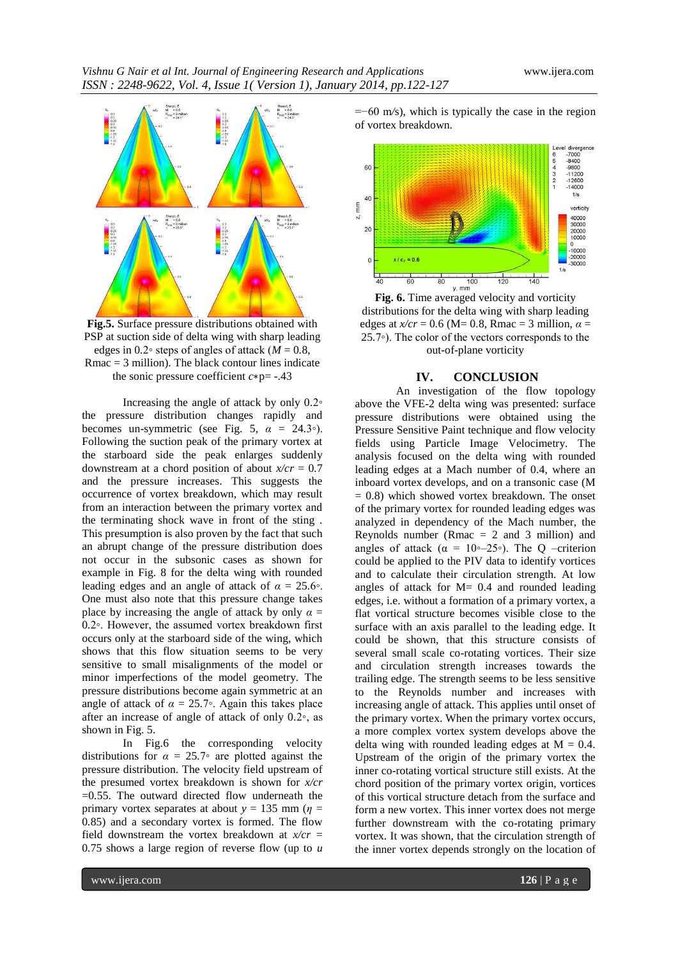

**Fig.5.** Surface pressure distributions obtained with PSP at suction side of delta wing with sharp leading edges in 0.2 $\circ$  steps of angles of attack ( $M = 0.8$ ,  $Rmac = 3$  million). The black contour lines indicate the sonic pressure coefficient *c*∗p= -.43

Increasing the angle of attack by only 0*.*2◦ the pressure distribution changes rapidly and becomes un-symmetric (see Fig. 5,  $\alpha = 24.3°$ ). Following the suction peak of the primary vortex at the starboard side the peak enlarges suddenly downstream at a chord position of about  $x/cr = 0.7$ and the pressure increases. This suggests the occurrence of vortex breakdown, which may result from an interaction between the primary vortex and the terminating shock wave in front of the sting . This presumption is also proven by the fact that such an abrupt change of the pressure distribution does not occur in the subsonic cases as shown for example in Fig. 8 for the delta wing with rounded leading edges and an angle of attack of  $\alpha = 25.6$ °. One must also note that this pressure change takes place by increasing the angle of attack by only  $\alpha$  = 0*.*2◦. However, the assumed vortex breakdown first occurs only at the starboard side of the wing, which shows that this flow situation seems to be very sensitive to small misalignments of the model or minor imperfections of the model geometry. The pressure distributions become again symmetric at an angle of attack of  $\alpha = 25.7$ °. Again this takes place after an increase of angle of attack of only 0*.*2◦, as shown in Fig. 5.

In Fig.6 the corresponding velocity distributions for  $\alpha = 25.7\text{°}$  are plotted against the pressure distribution. The velocity field upstream of the presumed vortex breakdown is shown for *x/cr*  =0*.*55. The outward directed flow underneath the primary vortex separates at about  $y = 135$  mm ( $n =$ 0*.*85) and a secondary vortex is formed. The flow field downstream the vortex breakdown at  $x/cr =$ 0*.*75 shows a large region of reverse flow (up to *u* 





**Fig. 6.** Time averaged velocity and vorticity distributions for the delta wing with sharp leading edges at  $x/cr = 0.6$  (M= 0.8, Rmac = 3 million,  $\alpha =$ 25*.*7◦). The color of the vectors corresponds to the out-of-plane vorticity

#### **IV. CONCLUSION**

An investigation of the flow topology above the VFE-2 delta wing was presented: surface pressure distributions were obtained using the Pressure Sensitive Paint technique and flow velocity fields using Particle Image Velocimetry. The analysis focused on the delta wing with rounded leading edges at a Mach number of 0.4, where an inboard vortex develops, and on a transonic case (M  $= 0.8$ ) which showed vortex breakdown. The onset of the primary vortex for rounded leading edges was analyzed in dependency of the Mach number, the Reynolds number (Rmac = 2 and 3 million) and angles of attack ( $\alpha = 10$ <sup>o</sup>–25<sup>o</sup>). The Q –criterion could be applied to the PIV data to identify vortices and to calculate their circulation strength. At low angles of attack for M= 0.4 and rounded leading edges, i.e. without a formation of a primary vortex, a flat vortical structure becomes visible close to the surface with an axis parallel to the leading edge. It could be shown, that this structure consists of several small scale co-rotating vortices. Their size and circulation strength increases towards the trailing edge. The strength seems to be less sensitive to the Reynolds number and increases with increasing angle of attack. This applies until onset of the primary vortex. When the primary vortex occurs, a more complex vortex system develops above the delta wing with rounded leading edges at  $M = 0.4$ . Upstream of the origin of the primary vortex the inner co-rotating vortical structure still exists. At the chord position of the primary vortex origin, vortices of this vortical structure detach from the surface and form a new vortex. This inner vortex does not merge further downstream with the co-rotating primary vortex. It was shown, that the circulation strength of the inner vortex depends strongly on the location of